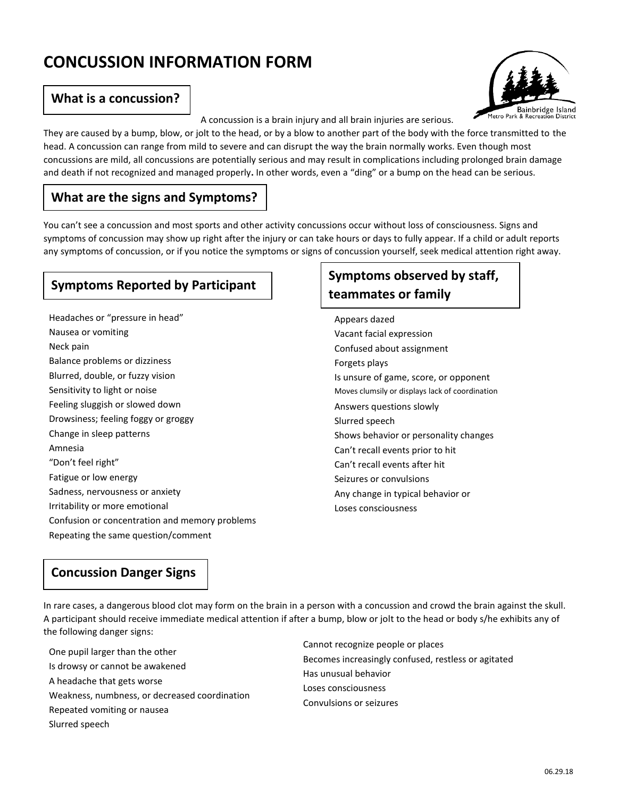# **CONCUSSION INFORMATION FORM**

#### **What is a concussion?**



A concussion is a brain injury and all brain injuries are serious.

They are caused by a bump, blow, or jolt to the head, or by a blow to another part of the body with the force transmitted to the head. A concussion can range from mild to severe and can disrupt the way the brain normally works. Even though most concussions are mild, all concussions are potentially serious and may result in complications including prolonged brain damage and death if not recognized and managed properly**.** In other words, even a "ding" or a bump on the head can be serious.

## **What are the signs and Symptoms?**

You can't see a concussion and most sports and other activity concussions occur without loss of consciousness. Signs and symptoms of concussion may show up right after the injury or can take hours or days to fully appear. If a child or adult reports any symptoms of concussion, or if you notice the symptoms or signs of concussion yourself, seek medical attention right away.

## **Symptoms Reported by Participant**

Headaches or "pressure in head" Nausea or vomiting Neck pain Balance problems or dizziness Blurred, double, or fuzzy vision Sensitivity to light or noise Feeling sluggish or slowed down Drowsiness; feeling foggy or groggy Change in sleep patterns Amnesia "Don't feel right" Fatigue or low energy Sadness, nervousness or anxiety Irritability or more emotional Confusion or concentration and memory problems Repeating the same question/comment

## **Symptoms observed by staff, teammates or family**

Appears dazed Vacant facial expression Confused about assignment Forgets plays Is unsure of game, score, or opponent Moves clumsily or displays lack of coordination Answers questions slowly Slurred speech Shows behavior or personality changes Can't recall events prior to hit Can't recall events after hit Seizures or convulsions Any change in typical behavior or Loses consciousness

### **Concussion Danger Signs**

In rare cases, a dangerous blood clot may form on the brain in a person with a concussion and crowd the brain against the skull. A participant should receive immediate medical attention if after a bump, blow or jolt to the head or body s/he exhibits any of the following danger signs:

One pupil larger than the other Is drowsy or cannot be awakened A headache that gets worse Weakness, numbness, or decreased coordination Repeated vomiting or nausea Slurred speech

Cannot recognize people or places Becomes increasingly confused, restless or agitated Has unusual behavior Loses consciousness Convulsions or seizures